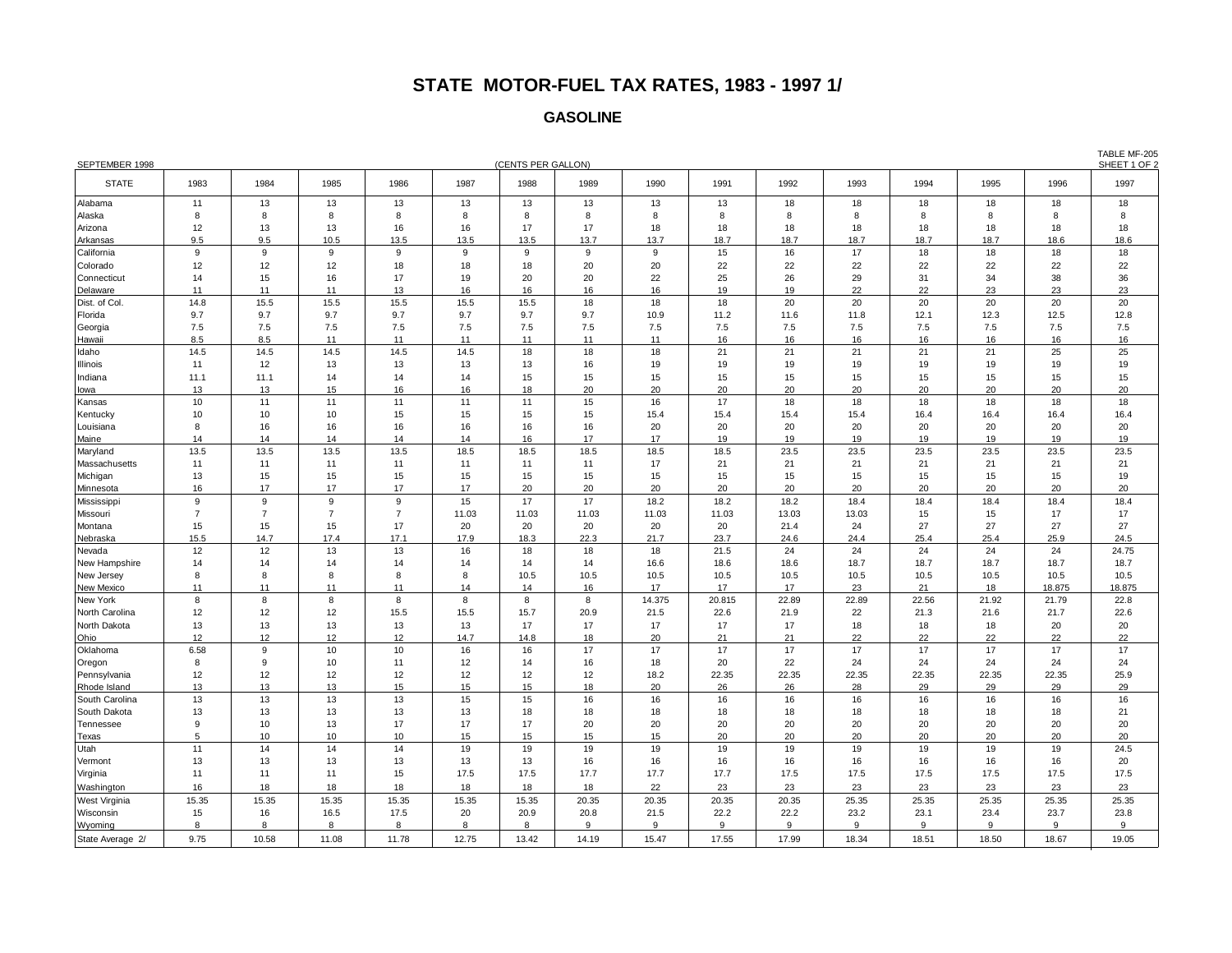## **STATE MOTOR-FUEL TAX RATES, 1983 - 1997 1/**

## **GASOLINE**

| SEPTEMBER 1998               | (CENTS PER GALLON) |                |                |                |            |          |          |            |          |          | <b>I ADLE IVIF-203</b><br>SHEET 1 OF 2 |          |          |          |          |
|------------------------------|--------------------|----------------|----------------|----------------|------------|----------|----------|------------|----------|----------|----------------------------------------|----------|----------|----------|----------|
| <b>STATE</b>                 | 1983               | 1984           | 1985           | 1986           | 1987       | 1988     | 1989     | 1990       | 1991     | 1992     | 1993                                   | 1994     | 1995     | 1996     | 1997     |
| Alabama                      | 11                 | 13             | 13             | 13             | 13         | 13       | 13       | 13         | 13       | 18       | 18                                     | 18       | 18       | 18       | 18       |
| Alaska                       | 8                  | 8              | 8              | 8              | 8          | 8        | 8        | 8          | 8        | 8        | 8                                      | 8        | 8        | 8        | 8        |
| Arizona                      | 12                 | 13             | 13             | 16             | 16         | 17       | 17       | 18         | 18       | 18       | 18                                     | 18       | 18       | 18       | 18       |
| Arkansas                     | 9.5                | 9.5            | 10.5           | 13.5           | 13.5       | 13.5     | 13.7     | 13.7       | 18.7     | 18.7     | 18.7                                   | 18.7     | 18.7     | 18.6     | 18.6     |
| California                   | 9                  | 9              | 9              | 9              | 9          | 9        | 9        | 9          | 15       | 16       | 17                                     | 18       | 18       | 18       | 18       |
| Colorado                     | 12                 | 12             | 12             | 18             | 18         | 18       | 20       | 20         | 22       | 22       | 22                                     | 22       | 22       | 22       | 22       |
| Connecticut                  | 14                 | 15             | 16             | 17             | 19         | 20       | 20       | 22         | 25       | 26       | 29                                     | 31       | 34       | 38       | 36       |
| Delaware                     | 11                 | 11             | 11             | 13             | 16         | 16       | 16       | 16         | 19       | 19       | 22                                     | 22       | 23       | 23       | 23       |
| Dist. of Col.                | 14.8               | 15.5           | 15.5           | 15.5           | 15.5       | 15.5     | 18       | 18         | 18       | 20       | 20                                     | 20       | 20       | 20       | 20       |
| Florida                      | 9.7                | 9.7            | 9.7            | 9.7            | 9.7        | 9.7      | 9.7      | 10.9       | 11.2     | 11.6     | 11.8                                   | 12.1     | 12.3     | 12.5     | 12.8     |
| Georgia                      | 7.5                | 7.5            | 7.5            | 7.5            | 7.5        | 7.5      | 7.5      | 7.5        | 7.5      | 7.5      | 7.5                                    | 7.5      | 7.5      | 7.5      | 7.5      |
| Hawaii                       | 8.5                | 8.5            | 11             | 11             | 11         | 11       | 11       | 11         | 16       | 16       | 16                                     | 16       | 16       | 16       | 16       |
| Idaho                        | 14.5               | 14.5           | 14.5           | 14.5           | 14.5       | 18       | 18       | 18         | 21       | 21       | 21                                     | 21       | 21       | 25       | 25       |
| Illinois                     | 11                 | 12             | 13             | 13             | 13         | 13       | 16       | 19         | 19       | 19       | 19                                     | 19       | 19       | 19       | 19       |
| Indiana                      | 11.1               | 11.1           | 14             | 14             | 14         | 15       | 15       | 15         | 15       | 15       | 15                                     | 15       | 15       | 15       | 15       |
| lowa                         | 13                 | 13             | 15             | 16             | 16         | 18       | 20       | 20         | 20       | 20       | 20                                     | 20       | 20       | 20       | 20       |
| Kansas                       | 10                 | 11             | 11             | 11             | 11         | 11       | 15       | 16         | 17       | 18       | 18                                     | 18       | 18       | 18       | 18       |
| Kentucky                     | 10                 | 10             | 10             | 15             | 15         | 15       | 15       | 15.4       | 15.4     | 15.4     | 15.4                                   | 16.4     | 16.4     | 16.4     | 16.4     |
| Louisiana                    | 8                  | 16             | 16             | 16             | 16         | 16       | 16       | 20         | 20       | 20       | 20                                     | 20       | 20       | 20       | 20       |
| Maine                        | 14                 | 14             | 14             | 14             | 14         | 16       | 17       | 17         | 19       | 19       | 19                                     | 19       | 19       | 19       | 19       |
| Maryland                     | 13.5               | 13.5           | 13.5           | 13.5           | 18.5       | 18.5     | 18.5     | 18.5       | 18.5     | 23.5     | 23.5                                   | 23.5     | 23.5     | 23.5     | 23.5     |
| Massachusetts                | 11                 | 11             | 11             | 11             | 11         | 11       | 11       | 17         | 21       | 21       | 21                                     | 21       | 21       | 21       | 21       |
| Michigan                     | 13                 | 15             | 15             | 15             | 15         | 15       | 15       | 15         | 15       | 15       | 15                                     | 15       | 15       | 15       | 19       |
| Minnesota                    | 16                 | 17             | 17             | 17             | 17         | 20       | 20       | 20         | 20       | 20       | 20                                     | 20       | 20       | 20       | 20       |
| Mississippi                  | 9                  | 9              | 9              | 9              | 15         | 17       | 17       | 18.2       | 18.2     | 18.2     | 18.4                                   | 18.4     | 18.4     | 18.4     | 18.4     |
| Missouri                     | $\overline{7}$     | $\overline{7}$ | $\overline{7}$ | $\overline{7}$ | 11.03      | 11.03    | 11.03    | 11.03      | 11.03    | 13.03    | 13.03                                  | 15       | 15       | 17       | 17       |
| Montana                      | 15                 | 15             | 15             | 17             | 20         | 20       | 20       | 20         | 20       | 21.4     | 24                                     | 27       | 27       | 27       | 27       |
| Nebraska                     | 15.5               | 14.7           | 17.4           | 17.1           | 17.9       | 18.3     | 22.3     | 21.7       | 23.7     | 24.6     | 24.4                                   | 25.4     | 25.4     | 25.9     | 24.5     |
| Nevada                       | 12                 | 12             | 13             | 13             | 16         | 18       | 18       | 18         | 21.5     | 24       | 24                                     | 24       | 24       | 24       | 24.75    |
| New Hampshire                | 14                 | 14             | 14             | 14             | 14         | 14       | 14       | 16.6       | 18.6     | 18.6     | 18.7                                   | 18.7     | 18.7     | 18.7     | 18.7     |
| New Jersey                   | 8                  | 8              | 8              | 8              | 8          | 10.5     | 10.5     | 10.5       | 10.5     | 10.5     | 10.5                                   | 10.5     | 10.5     | 10.5     | 10.5     |
| New Mexico                   | 11                 | 11             | 11             | 11             | 14         | 14       | 16       | 17         | 17       | 17       | 23                                     | 21       | 18       | 18.875   | 18.875   |
| New York                     | 8                  | 8              | 8              | 8              | 8          | 8        | 8        | 14.375     | 20.815   | 22.89    | 22.89                                  | 22.56    | 21.92    | 21.79    | 22.8     |
| North Carolina               | 12                 | 12             | 12             | 15.5           | 15.5       | 15.7     | 20.9     | 21.5       | 22.6     | 21.9     | 22                                     | 21.3     | 21.6     | 21.7     | 22.6     |
| North Dakota                 | 13<br>12           | 13             | 13<br>12       | 13             | 13<br>14.7 | 17       | 17       | 17         | 17       | 17       | 18                                     | 18       | 18       | 20       | 20       |
| Ohio                         | 6.58               | 12<br>9        |                | 12             |            | 14.8     | 18<br>17 | 20         | 21<br>17 | 21<br>17 | 22<br>17                               | 22<br>17 | 22       | 22<br>17 | 22<br>17 |
| Oklahoma                     | 8                  | 9              | 10<br>10       | 10<br>11       | 16<br>12   | 16<br>14 | 16       | 17<br>18   | 20       | 22       | 24                                     | 24       | 17<br>24 | 24       | 24       |
| Oregon                       | 12                 | 12             |                | 12             | 12         | 12       | 12       |            | 22.35    | 22.35    | 22.35                                  | 22.35    | 22.35    | 22.35    | 25.9     |
| Pennsylvania<br>Rhode Island | 13                 | 13             | 12<br>13       | 15             | 15         | 15       | 18       | 18.2<br>20 | 26       | 26       | 28                                     | 29       | 29       | 29       | 29       |
| South Carolina               | 13                 | 13             | 13             | 13             | 15         | 15       | 16       | 16         | 16       | 16       | 16                                     | 16       | 16       | 16       | 16       |
| South Dakota                 | 13                 | 13             | 13             | 13             | 13         | 18       | 18       | 18         | 18       | 18       | 18                                     | 18       | 18       | 18       | 21       |
| Tennessee                    | 9                  | 10             | 13             | 17             | 17         | 17       | 20       | 20         | 20       | 20       | 20                                     | 20       | 20       | 20       | 20       |
| Texas                        | 5                  | 10             | 10             | 10             | 15         | 15       | 15       | 15         | 20       | 20       | 20                                     | 20       | 20       | 20       | 20       |
| Utah                         | 11                 | 14             | 14             | 14             | 19         | 19       | 19       | 19         | 19       | 19       | 19                                     | 19       | 19       | 19       | 24.5     |
| Vermont                      | 13                 | 13             | 13             | 13             | 13         | 13       | 16       | 16         | 16       | 16       | 16                                     | 16       | 16       | 16       | 20       |
| Virginia                     | 11                 | 11             | 11             | 15             | 17.5       | 17.5     | 17.7     | 17.7       | 17.7     | 17.5     | 17.5                                   | 17.5     | 17.5     | 17.5     | 17.5     |
|                              | 16                 | 18             | 18             | 18             | 18         | 18       | 18       | 22         | 23       | 23       | 23                                     | 23       | 23       | 23       | 23       |
| Washington<br>West Virginia  | 15.35              | 15.35          | 15.35          | 15.35          | 15.35      | 15.35    | 20.35    | 20.35      | 20.35    | 20.35    | 25.35                                  | 25.35    | 25.35    | 25.35    | 25.35    |
| Wisconsin                    | 15                 | 16             | 16.5           | 17.5           | 20         | 20.9     | 20.8     | 21.5       | 22.2     | 22.2     | 23.2                                   | 23.1     | 23.4     | 23.7     | 23.8     |
|                              | 8                  | 8              | 8              | 8              | 8          | 8        | 9        | 9          | 9        | 9        | $\mathbf{Q}$                           | 9        | 9        | 9        | 9        |
| Wyoming                      |                    |                |                |                |            |          |          |            |          |          |                                        |          |          |          |          |
| State Average 2/             | 9.75               | 10.58          | 11.08          | 11.78          | 12.75      | 13.42    | 14.19    | 15.47      | 17.55    | 17.99    | 18.34                                  | 18.51    | 18.50    | 18.67    | 19.05    |

TABLE MF-205